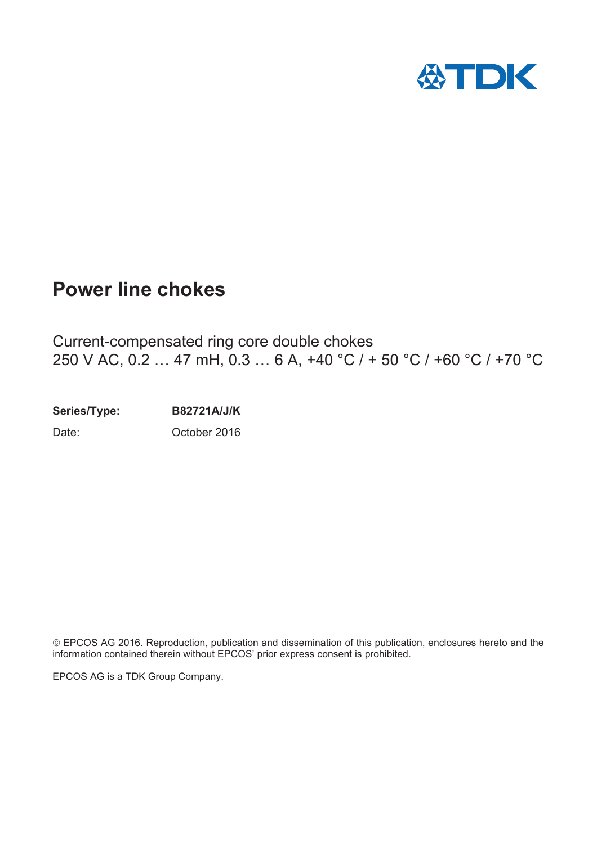

## **Power line chokes**

Current-compensated ring core double chokes 250 V AC, 0.2 … 47 mH, 0.3 … 6 A, +40 °C / + 50 °C / +60 °C / +70 °C

**Series/Type: B82721A/J/K** Date: October 2016

¤EPCOS AG 2016. Reproduction, publication and dissemination of this publication, enclosures hereto and the information contained therein without EPCOS' prior express consent is prohibited.

EPCOS AG is a TDK Group Company.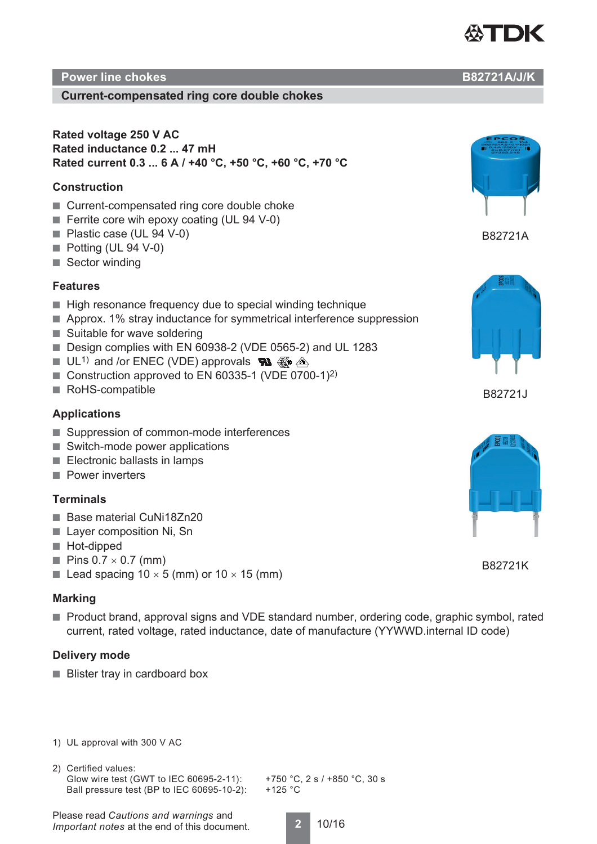

#### **Power line chokes B82721A/J/K**

#### **Current-compensated ring core double chokes**

**Rated voltage 250 V AC Rated inductance 0.2 ... 47 mH Rated current 0.3 ... 6 A / +40 °C, +50 °C, +60 °C, +70 °C**

#### **Construction**

- Current-compensated ring core double choke
- Ferrite core wih epoxy coating (UL 94 V-0)
- Plastic case (UL 94 V-0)
- Potting (UL 94 V-0)
- Sector winding

#### **Features**

- High resonance frequency due to special winding technique
- Approx. 1% stray inductance for symmetrical interference suppression
- Suitable for wave soldering
- Design complies with EN 60938-2 (VDE 0565-2) and UL 1283
- $\blacksquare$  UL<sup>1)</sup> and /or ENEC (VDE) approvals  $\blacksquare$   $\mathbb{R}$   $\mathbb{R}$   $\mathbb{R}$
- Construction approved to EN 60335-1 (VDE 0700-1)<sup>2)</sup>
- RoHS-compatible

#### **Applications**

- Suppression of common-mode interferences
- Switch-mode power applications
- Electronic ballasts in lamps
- Power inverters

#### **Terminals**

- Base material CuNi18Zn20
- Layer composition Ni, Sn
- Hot-dipped
- **Pins 0.7**  $\times$  0.7 (mm)
- Lead spacing  $10 \times 5$  (mm) or  $10 \times 15$  (mm)

#### **Marking**

■ Product brand, approval signs and VDE standard number, ordering code, graphic symbol, rated current, rated voltage, rated inductance, date of manufacture (YYWWD.internal ID code)

#### **Delivery mode**

- Blister tray in cardboard box
- 1) UL approval with 300 V AC
- 2) Certified values: Glow wire test (GWT to IEC 60695-2-11): +750 °C, 2 s / +850 °C, 30 s Ball pressure test (BP to IEC 60695-10-2): +125 °C

Please read *Cautions and warnings* and *Important notes* at the end of this document.



B82721A





B82721K

**2** 10/16



B82721J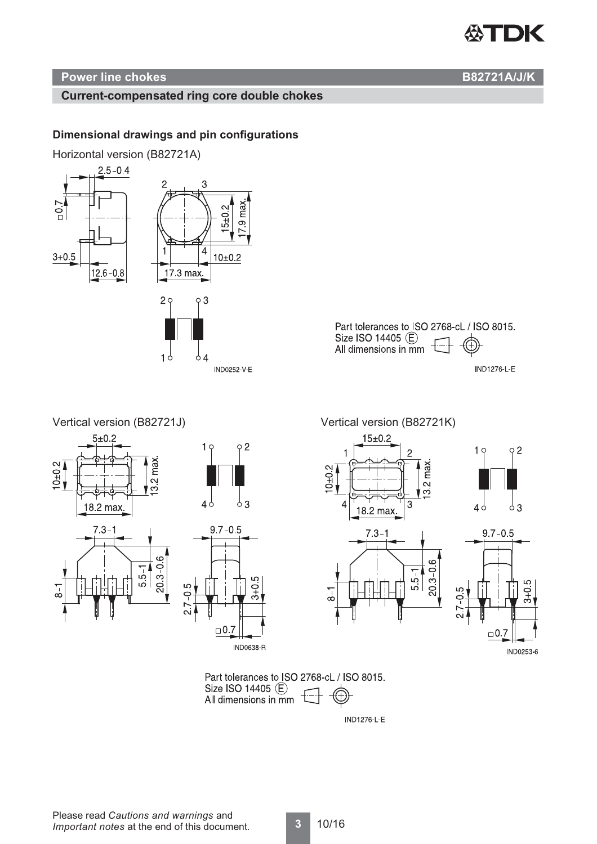# TDK

#### **Power line chokes B82721A/J/K**

#### **Current-compensated ring core double chokes**

#### **Dimensional drawings and pin configurations**

Horizontal version (B82721A)





Vertical version (B82721J) Vertical version (B82721K)









 $15 + 0.2$ 



Part tolerances to ISO 2768-cL / ISO 8015. Size ISO 14405 (E) All dimensions in mm

**IND1276-L-E**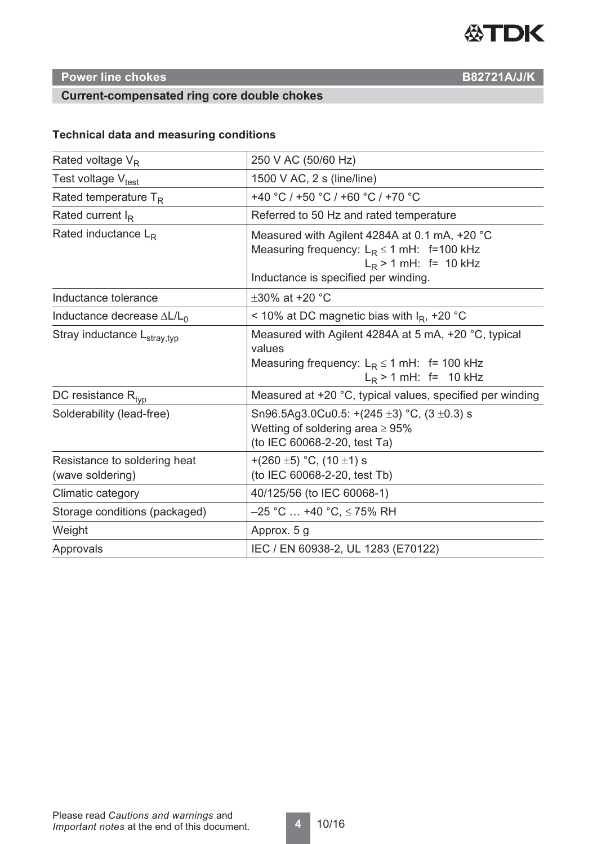

#### **Power line chokes B82721A/J/K**

#### **Current-compensated ring core double chokes**

#### **Technical data and measuring conditions**

| Rated voltage $V_R$                              | 250 V AC (50/60 Hz)                                                                                                                                                |  |  |  |
|--------------------------------------------------|--------------------------------------------------------------------------------------------------------------------------------------------------------------------|--|--|--|
| Test voltage Vt <sub>est</sub>                   | 1500 V AC, 2 s (line/line)                                                                                                                                         |  |  |  |
| Rated temperature $T_R$                          | +40 °C / +50 °C / +60 °C / +70 °C                                                                                                                                  |  |  |  |
| Rated current $I_R$                              | Referred to 50 Hz and rated temperature                                                                                                                            |  |  |  |
| Rated inductance $L_R$                           | Measured with Agilent 4284A at 0.1 mA, +20 °C<br>Measuring frequency: $L_R \le 1$ mH: f=100 kHz<br>$L_R$ > 1 mH: f= 10 kHz<br>Inductance is specified per winding. |  |  |  |
| Inductance tolerance                             | $\pm 30\%$ at +20 °C                                                                                                                                               |  |  |  |
| Inductance decrease $\Delta L/L_0$               | < 10% at DC magnetic bias with $I_R$ , +20 °C                                                                                                                      |  |  |  |
| Stray inductance L <sub>stray,typ</sub>          | Measured with Agilent 4284A at 5 mA, +20 °C, typical<br>values<br>Measuring frequency: $L_R \le 1$ mH: f= 100 kHz<br>$L_R$ > 1 mH: f= 10 kHz                       |  |  |  |
| DC resistance $R_{\text{tvp}}$                   | Measured at +20 °C, typical values, specified per winding                                                                                                          |  |  |  |
| Solderability (lead-free)                        | Sn96.5Ag3.0Cu0.5: $+(245 \pm 3)$ °C, (3 $\pm$ 0.3) s<br>Wetting of soldering area $\geq 95\%$<br>(to IEC 60068-2-20, test Ta)                                      |  |  |  |
| Resistance to soldering heat<br>(wave soldering) | +(260 ±5) °C, (10 ±1) s<br>(to IEC 60068-2-20, test Tb)                                                                                                            |  |  |  |
| Climatic category                                | 40/125/56 (to IEC 60068-1)                                                                                                                                         |  |  |  |
| Storage conditions (packaged)                    | $-25$ °C  +40 °C, $\leq$ 75% RH                                                                                                                                    |  |  |  |
| Weight                                           | Approx. 5 g                                                                                                                                                        |  |  |  |
| Approvals                                        | IEC / EN 60938-2, UL 1283 (E70122)                                                                                                                                 |  |  |  |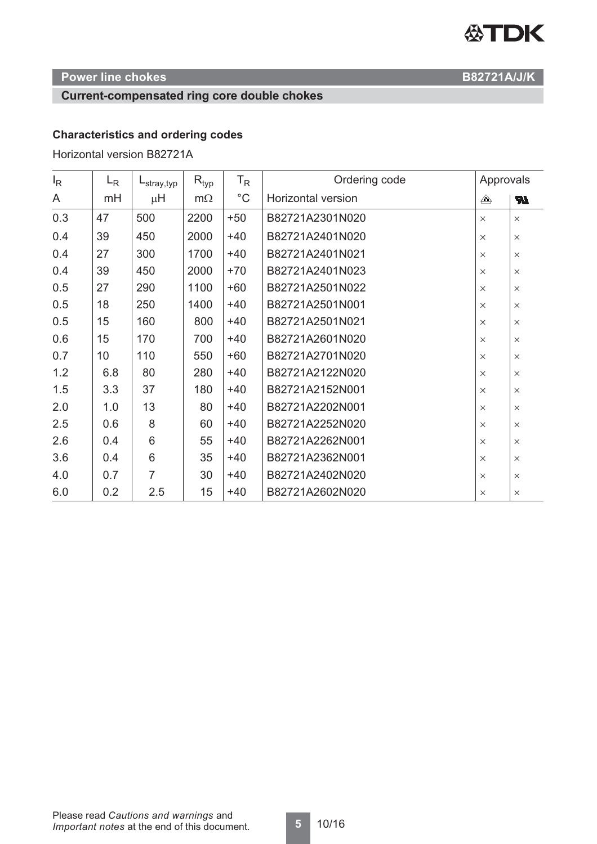# **公TDK**

### **Power line chokes B82721A/J/K**

#### **Current-compensated ring core double chokes**

#### **Characteristics and ordering codes**

Horizontal version B82721A

| $I_{\mathsf{R}}$ | $L_{R}$ | -stray,typ | $\mathsf{R}_{\mathsf{typ}}$ | $T_R$        | Ordering code      |          | Approvals |  |
|------------------|---------|------------|-----------------------------|--------------|--------------------|----------|-----------|--|
| A                | mH      | $\mu$ H    | $m\Omega$                   | $^{\circ}$ C | Horizontal version | ♠        | <b>R</b>  |  |
| 0.3              | 47      | 500        | 2200                        | $+50$        | B82721A2301N020    | $\times$ | $\times$  |  |
| 0.4              | 39      | 450        | 2000                        | $+40$        | B82721A2401N020    | $\times$ | $\times$  |  |
| 0.4              | 27      | 300        | 1700                        | $+40$        | B82721A2401N021    | $\times$ | $\times$  |  |
| 0.4              | 39      | 450        | 2000                        | $+70$        | B82721A2401N023    | $\times$ | $\times$  |  |
| 0.5              | 27      | 290        | 1100                        | $+60$        | B82721A2501N022    | $\times$ | $\times$  |  |
| 0.5              | 18      | 250        | 1400                        | $+40$        | B82721A2501N001    | $\times$ | $\times$  |  |
| 0.5              | 15      | 160        | 800                         | $+40$        | B82721A2501N021    | $\times$ | $\times$  |  |
| 0.6              | 15      | 170        | 700                         | $+40$        | B82721A2601N020    | $\times$ | $\times$  |  |
| 0.7              | 10      | 110        | 550                         | $+60$        | B82721A2701N020    | $\times$ | $\times$  |  |
| 1.2              | 6.8     | 80         | 280                         | $+40$        | B82721A2122N020    | $\times$ | $\times$  |  |
| 1.5              | 3.3     | 37         | 180                         | $+40$        | B82721A2152N001    | $\times$ | $\times$  |  |
| 2.0              | 1.0     | 13         | 80                          | $+40$        | B82721A2202N001    | $\times$ | $\times$  |  |
| 2.5              | 0.6     | 8          | 60                          | $+40$        | B82721A2252N020    | $\times$ | $\times$  |  |
| 2.6              | 0.4     | 6          | 55                          | $+40$        | B82721A2262N001    | $\times$ | $\times$  |  |
| 3.6              | 0.4     | 6          | 35                          | $+40$        | B82721A2362N001    | $\times$ | $\times$  |  |
| 4.0              | 0.7     | 7          | 30                          | $+40$        | B82721A2402N020    | $\times$ | $\times$  |  |
| 6.0              | 0.2     | 2.5        | 15                          | $+40$        | B82721A2602N020    | $\times$ | $\times$  |  |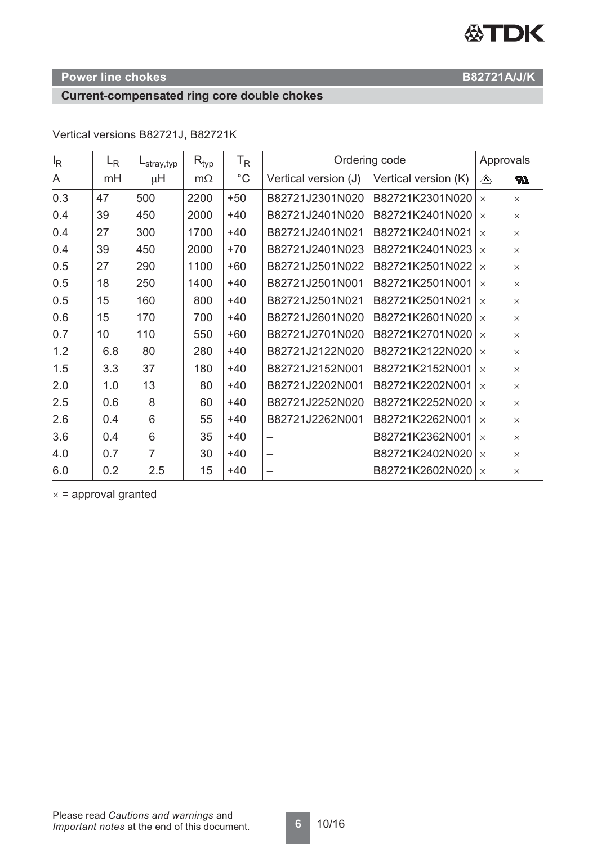# **公TDK**

#### **Power line chokes B82721A/J/K**

#### **Current-compensated ring core double chokes**

#### $I_R$ LR Ordering code Approvals Lstray,typ  $R_{\text{tvo}}$ TR  $^{\circ}C$ Vertical version (J) | Vertical version (K) A mH  $\mu$ H  $m\Omega$ ⚠ 0.3  $|47|$  500  $|2200|$  +50  $|B82721J2301N020|$  B82721K2301N020  $|\times$   $|\times$ 0.4 39 450 2000 +40 B82721J2401N020 B82721K2401N020  $\times$ 0.4 27 300 1700 +40 B82721J2401N021 B82721K2401N021 x  $\times$ 0.4 39 450 2000 +70 B82721J2401N023 B82721K2401N023 x  $\vert x \vert$ 0.5 27 290 1100 +60 B82721J2501N022 B82721K2501N022 x  $\times$ 0.5 18 250 1400 +40 B82721J2501N001 B82721K2501N001  $\times$  x 0.5  $\vert$  15  $\vert$  160  $\vert$  800 +40 B82721J2501N021 B82721K2501N021  $\vert$   $\times$   $\vert$   $\times$ 0.6 15 170 700 +40 B82721J2601N020 B82721K2601N020  $\times$ 0.7  $\vert$  10  $\vert$  110  $\vert$  550 +60 B82721J2701N020 B82721K2701N020  $\vert$   $\times$   $\vert$   $\times$ 1.2  $\begin{array}{|c|c|c|c|c|c|c|c|} \hline 6.8 & 80 & 280 & +40 & B82721J2122N020 & B82721K2122N020 & \times & \times \ \hline \end{array}$ 1.5  $\vert$  3.3  $\vert$  3.7  $\vert$  1.80 +40 B82721J2152N001 B82721K2152N001  $\vert$   $\times$   $\vert$   $\times$ 2.0 1.0 13 0 80 +40 B82721J2202N001 B82721K2202N001  $\times$  x 2.5  $\vert$  0.6  $\vert$  8  $\vert$  60 +40 B82721J2252N020 B82721K2252N020  $\vert$   $\times$   $\vert$   $\times$ 2.6  $\begin{array}{|c|c|c|c|c|c|c|c|c|} \hline 0.4 & 6 & 55 & +40 & B82721J2262N001 & B82721K2262N001 & \times & \times \ \hline \end{array}$  $3.6$  0.4 6 35 +40  $-$  B82721K2362N001  $\times$  x

 $4.0$  0.7  $\begin{array}{|c|c|c|c|c|c|c|c|c|} \hline 7 & 30 & +40 & - & \text{B82721K2402N020} & \times \end{array}$ 6.0  $\begin{array}{|c|c|c|c|c|c|c|c|c|} \hline \end{array}$  6.0  $\begin{array}{|c|c|c|c|c|c|c|c|c|} \hline \end{array}$  2.5  $\begin{array}{|c|c|c|c|c|c|c|c|} \hline \end{array}$  15 +40  $\begin{array}{|c|c|c|c|c|c|} \hline \end{array}$  B82721K2602N020  $\begin{array}{|c|c|c|c|c|c|} \hline \end{array}$ 

Vertical versions B82721J, B82721K

 $x =$  approval granted

**TR**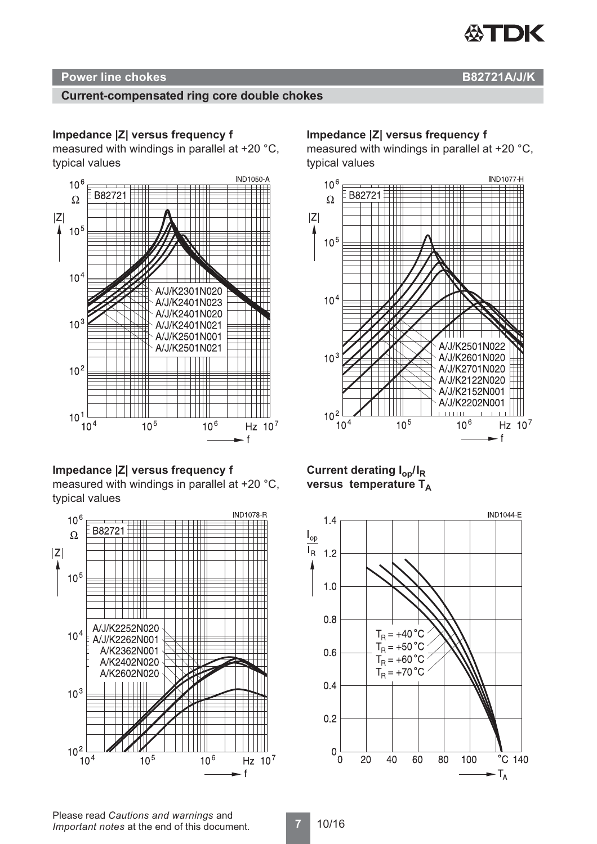

#### **Power line chokes B82721A/J/K**

#### **Current-compensated ring core double chokes**

#### **Impedance |Z| versus frequency f**

measured with windings in parallel at +20 °C, typical values



**Impedance |Z| versus frequency f** measured with windings in parallel at +20 °C, typical values



#### **Impedance |Z| versus frequency f**

measured with windings in parallel at +20 °C, typical values



**Current derating Iop/IR versus temperature TA**



Please read *Cautions and warnings* and *Important notes* at the end of this document.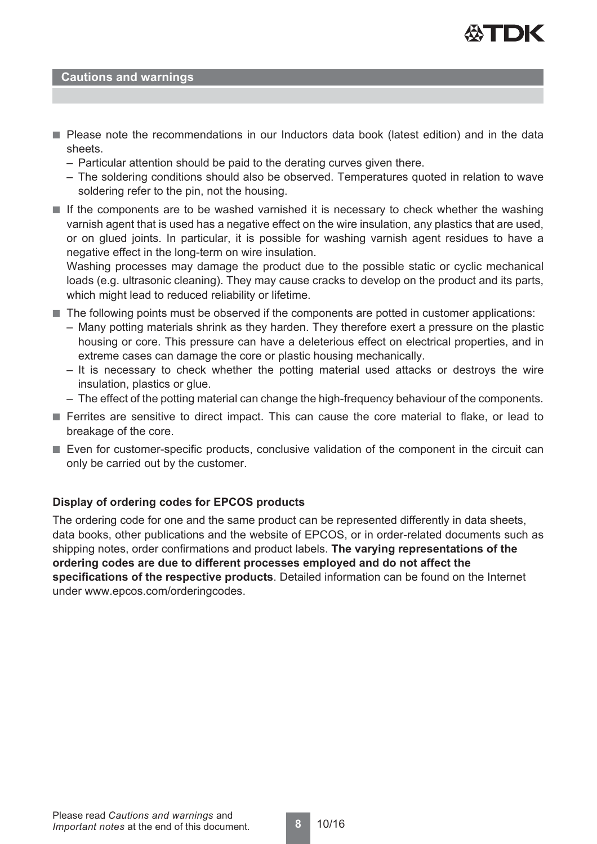

#### **Cautions and warnings**

- Please note the recommendations in our Inductors data book (latest edition) and in the data sheets.
	- Particular attention should be paid to the derating curves given there.
	- The soldering conditions should also be observed. Temperatures quoted in relation to wave soldering refer to the pin, not the housing.
- If the components are to be washed varnished it is necessary to check whether the washing varnish agent that is used has a negative effect on the wire insulation, any plastics that are used, or on glued joints. In particular, it is possible for washing varnish agent residues to have a negative effect in the long-term on wire insulation.

Washing processes may damage the product due to the possible static or cyclic mechanical loads (e.g. ultrasonic cleaning). They may cause cracks to develop on the product and its parts, which might lead to reduced reliability or lifetime.

- The following points must be observed if the components are potted in customer applications:
	- Many potting materials shrink as they harden. They therefore exert a pressure on the plastic housing or core. This pressure can have a deleterious effect on electrical properties, and in extreme cases can damage the core or plastic housing mechanically.
	- It is necessary to check whether the potting material used attacks or destroys the wire insulation, plastics or glue.
	- The effect of the potting material can change the high-frequency behaviour of the components.
- Ferrites are sensitive to direct impact. This can cause the core material to flake, or lead to breakage of the core.
- Even for customer-specific products, conclusive validation of the component in the circuit can only be carried out by the customer.

#### **Display of ordering codes for EPCOS products**

The ordering code for one and the same product can be represented differently in data sheets, data books, other publications and the website of EPCOS, or in order-related documents such as shipping notes, order confirmations and product labels. **The varying representations of the ordering codes are due to different processes employed and do not affect the specifications of the respective products**. Detailed information can be found on the Internet under www.epcos.com/orderingcodes.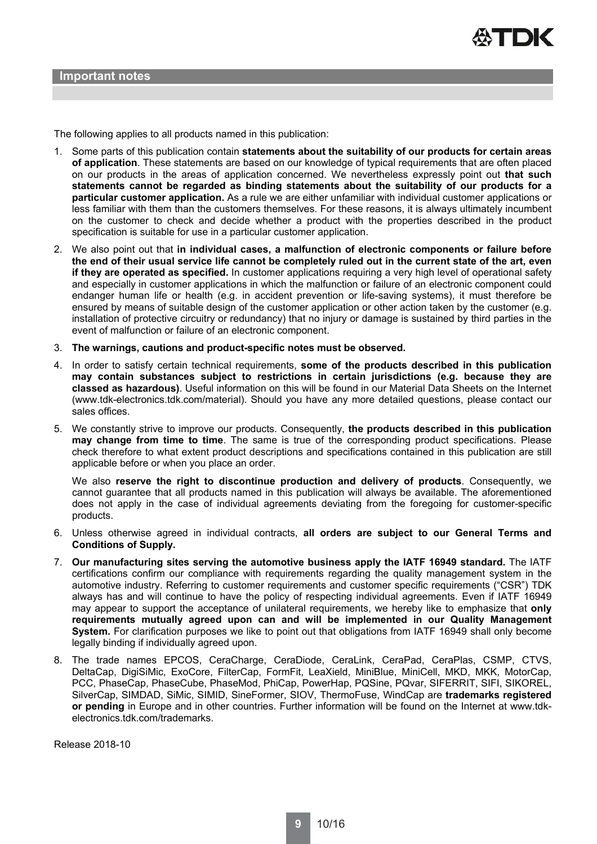

The following applies to all products named in this publication:

- 1. Some parts of this publication contain **statements about the suitability of our products for certain areas of application**. These statements are based on our knowledge of typical requirements that are often placed on our products in the areas of application concerned. We nevertheless expressly point out **that such statements cannot be regarded as binding statements about the suitability of our products for a particular customer application.** As a rule we are either unfamiliar with individual customer applications or less familiar with them than the customers themselves. For these reasons, it is always ultimately incumbent on the customer to check and decide whether a product with the properties described in the product specification is suitable for use in a particular customer application.
- 2. We also point out that **in individual cases, a malfunction of electronic components or failure before the end of their usual service life cannot be completely ruled out in the current state of the art, even if they are operated as specified.** In customer applications requiring a very high level of operational safety and especially in customer applications in which the malfunction or failure of an electronic component could endanger human life or health (e.g. in accident prevention or life-saving systems), it must therefore be ensured by means of suitable design of the customer application or other action taken by the customer (e.g. installation of protective circuitry or redundancy) that no injury or damage is sustained by third parties in the event of malfunction or failure of an electronic component.
- 3. **The warnings, cautions and product-specific notes must be observed.**
- 4. In order to satisfy certain technical requirements, **some of the products described in this publication may contain substances subject to restrictions in certain jurisdictions (e.g. because they are classed as hazardous)**. Useful information on this will be found in our Material Data Sheets on the Internet (www.tdk-electronics.tdk.com/material). Should you have any more detailed questions, please contact our sales offices.
- 5. We constantly strive to improve our products. Consequently, **the products described in this publication may change from time to time**. The same is true of the corresponding product specifications. Please check therefore to what extent product descriptions and specifications contained in this publication are still applicable before or when you place an order.

We also **reserve the right to discontinue production and delivery of products**. Consequently, we cannot guarantee that all products named in this publication will always be available. The aforementioned does not apply in the case of individual agreements deviating from the foregoing for customer-specific products.

- 6. Unless otherwise agreed in individual contracts, **all orders are subject to our General Terms and Conditions of Supply.**
- 7. **Our manufacturing sites serving the automotive business apply the IATF 16949 standard.** The IATF certifications confirm our compliance with requirements regarding the quality management system in the automotive industry. Referring to customer requirements and customer specific requirements ("CSR") TDK always has and will continue to have the policy of respecting individual agreements. Even if IATF 16949 may appear to support the acceptance of unilateral requirements, we hereby like to emphasize that **only requirements mutually agreed upon can and will be implemented in our Quality Management System.** For clarification purposes we like to point out that obligations from IATF 16949 shall only become legally binding if individually agreed upon.
- 8. The trade names EPCOS, CeraCharge, CeraDiode, CeraLink, CeraPad, CeraPlas, CSMP, CTVS, DeltaCap, DigiSiMic, ExoCore, FilterCap, FormFit, LeaXield, MiniBlue, MiniCell, MKD, MKK, MotorCap, PCC, PhaseCap, PhaseCube, PhaseMod, PhiCap, PowerHap, PQSine, PQvar, SIFERRIT, SIFI, SIKOREL, SilverCap, SIMDAD, SiMic, SIMID, SineFormer, SIOV, ThermoFuse, WindCap are **trademarks registered or pending** in Europe and in other countries. Further information will be found on the Internet at www.tdkelectronics.tdk.com/trademarks.

Release 2018-10